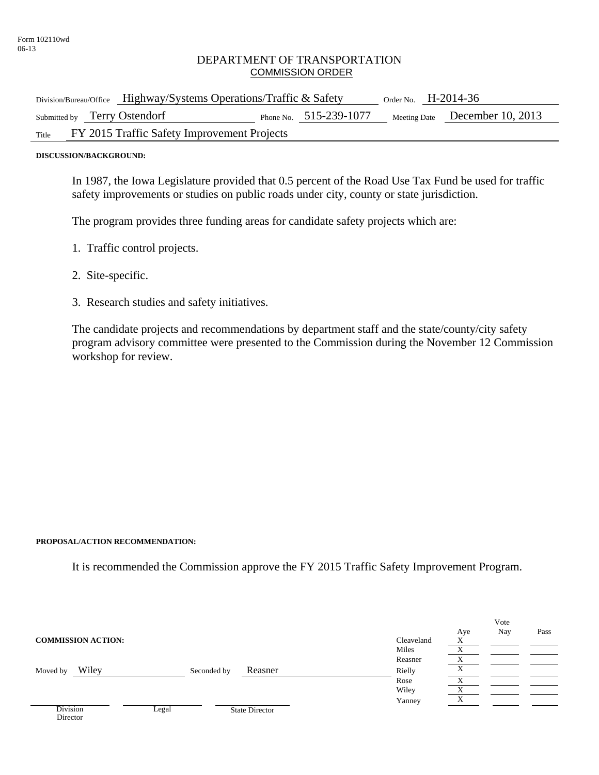## DEPARTMENT OF TRANSPORTATION COMMISSION ORDER

| Division/Bureau/Office Highway/Systems Operations/Traffic & Safety |                          | Order No. $H-2014-36$ |                                |
|--------------------------------------------------------------------|--------------------------|-----------------------|--------------------------------|
| Submitted by Terry Ostendorf                                       | Phone No. $515-239-1077$ |                       | Meeting Date December 10, 2013 |
| FY 2015 Traffic Safety Improvement Projects<br>Title               |                          |                       |                                |

**DISCUSSION/BACKGROUND:** 

In 1987, the Iowa Legislature provided that 0.5 percent of the Road Use Tax Fund be used for traffic safety improvements or studies on public roads under city, county or state jurisdiction.

The program provides three funding areas for candidate safety projects which are:

- 1. Traffic control projects.
- 2. Site-specific.
- 3. Research studies and safety initiatives.

The candidate projects and recommendations by department staff and the state/county/city safety program advisory committee were presented to the Commission during the November 12 Commission workshop for review.

## **PROPOSAL/ACTION RECOMMENDATION:**

It is recommended the Commission approve the FY 2015 Traffic Safety Improvement Program.

|                             |             |                       |            |                   | Vote |      |
|-----------------------------|-------------|-----------------------|------------|-------------------|------|------|
|                             |             |                       |            | Aye               | Nay  | Pass |
| <b>COMMISSION ACTION:</b>   |             |                       | Cleaveland | $\mathbf{v}$<br>л |      |      |
|                             |             |                       | Miles      |                   |      |      |
|                             |             |                       | Reasner    |                   |      |      |
| Wiley<br>Moved by           | Seconded by | Reasner               | Rielly     |                   |      |      |
|                             |             |                       | Rose       |                   |      |      |
|                             |             |                       | Wiley      |                   |      |      |
|                             |             |                       | Yanney     |                   |      |      |
| <b>Division</b><br>Director | Legal       | <b>State Director</b> |            |                   |      |      |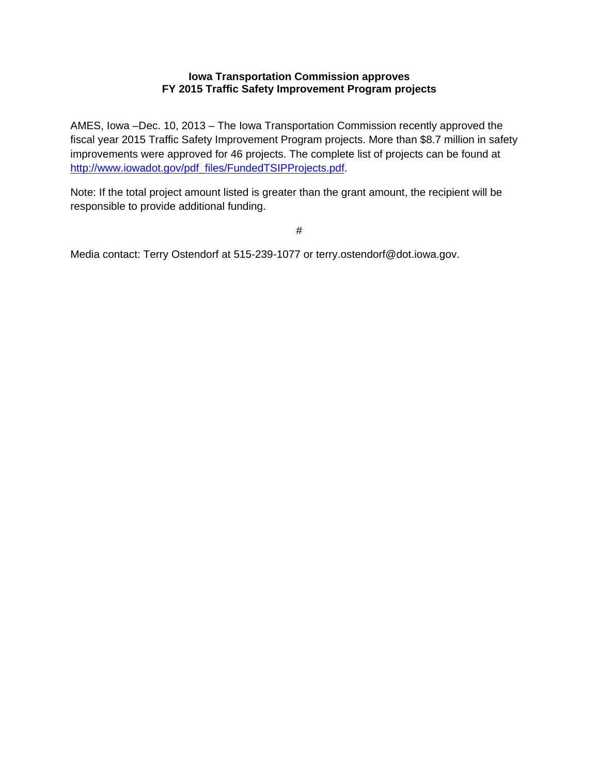## **Iowa Transportation Commission approves FY 2015 Traffic Safety Improvement Program projects**

AMES, Iowa –Dec. 10, 2013 – The Iowa Transportation Commission recently approved the fiscal year 2015 Traffic Safety Improvement Program projects. More than \$8.7 million in safety improvements were approved for 46 projects. The complete list of projects can be found at http://www.iowadot.gov/pdf\_files/FundedTSIPProjects.pdf.

Note: If the total project amount listed is greater than the grant amount, the recipient will be responsible to provide additional funding.

#

Media contact: Terry Ostendorf at 515-239-1077 or terry.ostendorf@dot.iowa.gov.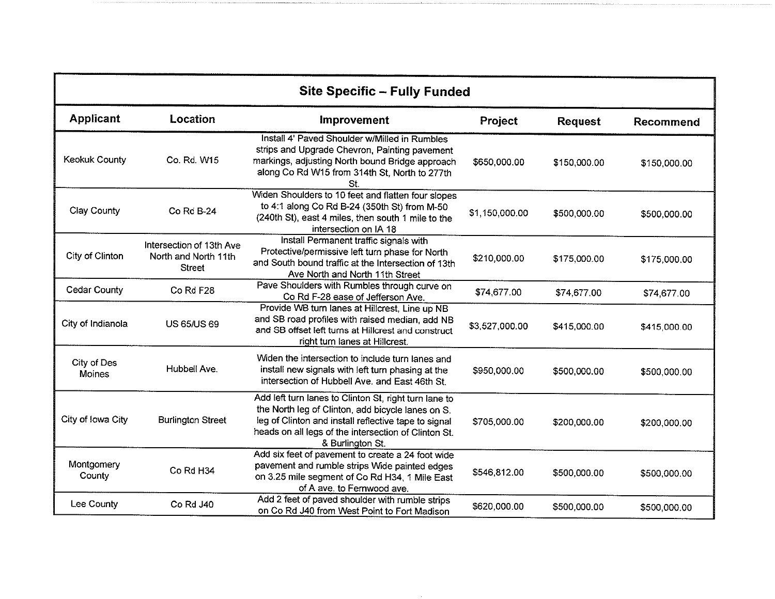| <b>Site Specific - Fully Funded</b> |                                                                   |                                                                                                                                                                                                                                                |                |                |              |
|-------------------------------------|-------------------------------------------------------------------|------------------------------------------------------------------------------------------------------------------------------------------------------------------------------------------------------------------------------------------------|----------------|----------------|--------------|
| <b>Applicant</b>                    | Location                                                          | Improvement                                                                                                                                                                                                                                    | Project        | <b>Request</b> | Recommend    |
| Keokuk County                       | Co. Rd. W15                                                       | Install 4' Paved Shoulder w/Milled in Rumbles<br>strips and Upgrade Chevron, Painting pavement<br>markings, adjusting North bound Bridge approach<br>along Co Rd W15 from 314th St, North to 277th<br>St.                                      | \$650,000.00   | \$150,000.00   | \$150,000.00 |
| Clay County                         | Co Rd B-24                                                        | Widen Shoulders to 10 feet and flatten four slopes<br>to 4:1 along Co Rd B-24 (350th St) from M-50<br>(240th St), east 4 miles, then south 1 mile to the<br>intersection on IA 18                                                              | \$1,150,000.00 | \$500,000.00   | \$500,000.00 |
| City of Clinton                     | Intersection of 13th Ave<br>North and North 11th<br><b>Street</b> | Install Permanent traffic signals with<br>Protective/permissive left turn phase for North<br>and South bound traffic at the Intersection of 13th<br>Ave North and North 11th Street                                                            | \$210,000.00   | \$175,000.00   | \$175,000.00 |
| <b>Cedar County</b>                 | Co Rd F28                                                         | Pave Shoulders with Rumbles through curve on<br>Co Rd F-28 ease of Jefferson Ave.                                                                                                                                                              | \$74,677.00    | \$74,677.00    | \$74,677.00  |
| City of Indianola                   | <b>US 65/US 69</b>                                                | Provide WB turn lanes at Hillcrest, Line up NB<br>and SB road profiles with raised median, add NB<br>and SB offset left turns at Hillcrest and construct<br>right turn lanes at Hillcrest.                                                     | \$3,527,000.00 | \$415,000.00   | \$415,000.00 |
| City of Des<br><b>Moines</b>        | Hubbell Ave.                                                      | Widen the intersection to include turn lanes and<br>install new signals with left turn phasing at the<br>intersection of Hubbell Ave. and East 46th St.                                                                                        | \$950,000.00   | \$500,000.00   | \$500,000.00 |
| City of Iowa City                   | <b>Burlington Street</b>                                          | Add left turn lanes to Clinton St, right turn lane to<br>the North leg of Clinton, add bicycle lanes on S.<br>leg of Clinton and install reflective tape to signal<br>heads on all legs of the intersection of Clinton St.<br>& Burlington St. | \$705,000.00   | \$200,000.00   | \$200,000.00 |
| Montgomery<br>County                | Co Rd H34                                                         | Add six feet of pavement to create a 24 foot wide<br>pavement and rumble strips Wide painted edges<br>on 3.25 mile segment of Co Rd H34, 1 Mile East<br>of A ave. to Fernwood ave.                                                             | \$546,812.00   | \$500,000.00   | \$500,000.00 |
| Lee County                          | Co Rd J40                                                         | Add 2 feet of paved shoulder with rumble strips<br>on Co Rd J40 from West Point to Fort Madison                                                                                                                                                | \$620,000.00   | \$500,000.00   | \$500,000.00 |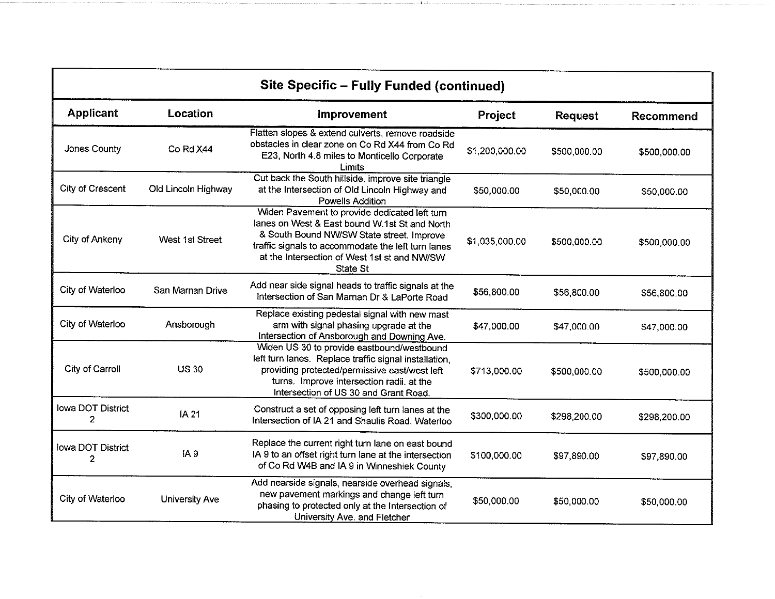| Site Specific - Fully Funded (continued) |                       |                                                                                                                                                                                                                                                               |                |                |              |
|------------------------------------------|-----------------------|---------------------------------------------------------------------------------------------------------------------------------------------------------------------------------------------------------------------------------------------------------------|----------------|----------------|--------------|
| <b>Applicant</b>                         | Location              | <b>Improvement</b>                                                                                                                                                                                                                                            | Project        | <b>Request</b> | Recommend    |
| Jones County                             | Co Rd X44             | Flatten slopes & extend culverts, remove roadside<br>obstacles in clear zone on Co Rd X44 from Co Rd<br>E23, North 4.8 miles to Monticello Corporate<br>Limits                                                                                                | \$1,200,000.00 | \$500,000.00   | \$500,000.00 |
| City of Crescent                         | Old Lincoln Highway   | Cut back the South hillside, improve site triangle<br>at the Intersection of Old Lincoln Highway and<br>Powells Addition                                                                                                                                      | \$50,000.00    | \$50,000.00    | \$50,000.00  |
| City of Ankeny                           | West 1st Street       | Widen Pavement to provide dedicated left turn<br>lanes on West & East bound W.1st St and North<br>& South Bound NW/SW State street. Improve<br>traffic signals to accommodate the left turn lanes<br>at the Intersection of West 1st st and NW/SW<br>State St | \$1,035,000.00 | \$500,000.00   | \$500,000.00 |
| City of Waterloo                         | San Marnan Drive      | Add near side signal heads to traffic signals at the<br>Intersection of San Marnan Dr & LaPorte Road                                                                                                                                                          | \$56,800.00    | \$56,800.00    | \$56,800.00  |
| City of Waterloo                         | Ansborough            | Replace existing pedestal signal with new mast<br>arm with signal phasing upgrade at the<br>Intersection of Ansborough and Downing Ave.                                                                                                                       | \$47,000.00    | \$47,000.00    | \$47,000.00  |
| City of Carroll                          | <b>US30</b>           | Widen US 30 to provide eastbound/westbound<br>left turn lanes. Replace traffic signal installation,<br>providing protected/permissive east/west left<br>turns. Improve intersection radii. at the<br>Intersection of US 30 and Grant Road.                    | \$713,000.00   | \$500,000.00   | \$500,000.00 |
| Iowa DOT District<br>2                   | <b>IA 21</b>          | Construct a set of opposing left turn lanes at the<br>Intersection of IA 21 and Shaulis Road, Waterloo                                                                                                                                                        | \$300,000.00   | \$298,200.00   | \$298,200.00 |
| lowa DOT District<br>2                   | IA 9                  | Replace the current right turn lane on east bound<br>IA 9 to an offset right turn lane at the intersection<br>of Co Rd W4B and IA 9 in Winneshiek County                                                                                                      | \$100,000.00   | \$97,890.00    | \$97,890.00  |
| City of Waterloo                         | <b>University Ave</b> | Add nearside signals, nearside overhead signals,<br>new pavement markings and change left turn<br>phasing to protected only at the Intersection of<br>University Ave. and Fletcher                                                                            | \$50,000.00    | \$50,000.00    | \$50,000.00  |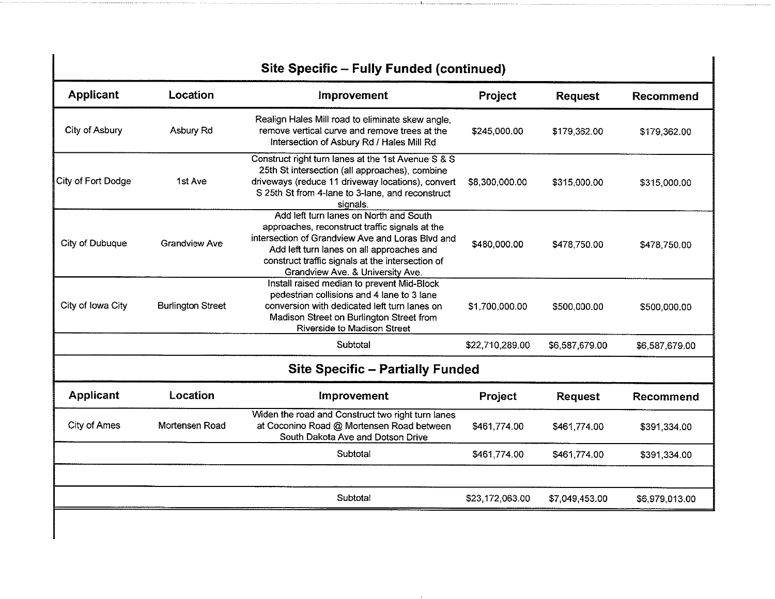| <b>Site Specific - Fully Funded (continued)</b> |                          |                                                                                                                                                                                                                                                                                   |                 |                |                  |  |
|-------------------------------------------------|--------------------------|-----------------------------------------------------------------------------------------------------------------------------------------------------------------------------------------------------------------------------------------------------------------------------------|-----------------|----------------|------------------|--|
| <b>Applicant</b>                                | Location                 | Improvement                                                                                                                                                                                                                                                                       | Project         | <b>Request</b> | Recommend        |  |
| City of Asbury                                  | Asbury Rd                | Realign Hales Mill road to eliminate skew angle,<br>remove vertical curve and remove trees at the<br>Intersection of Asbury Rd / Hales Mill Rd                                                                                                                                    | \$245,000.00    | \$179,362.00   | \$179,362.00     |  |
| City of Fort Dodge                              | 1st Ave                  | Construct right turn lanes at the 1st Avenue S & S<br>25th St intersection (all approaches), combine<br>driveways (reduce 11 driveway locations), convert<br>S 25th St from 4-lane to 3-lane, and reconstruct<br>signals.                                                         | \$8,300,000.00  | \$315,000.00   | \$315,000.00     |  |
| City of Dubuque                                 | <b>Grandview Ave</b>     | Add left turn lanes on North and South<br>approaches, reconstruct traffic signals at the<br>intersection of Grandview Ave and Loras Blvd and<br>Add left turn lanes on all approaches and<br>construct traffic signals at the intersection of<br>Grandview Ave. & University Ave. | \$480,000.00    | \$478,750.00   | \$478,750.00     |  |
| City of Iowa City                               | <b>Burlington Street</b> | Install raised median to prevent Mid-Block<br>pedestrian collisions and 4 lane to 3 lane<br>conversion with dedicated left turn lanes on<br>Madison Street on Burlington Street from<br><b>Riverside to Madison Street</b>                                                        | \$1,700,000.00  | \$500,000.00   | \$500,000.00     |  |
|                                                 |                          | Subtotal                                                                                                                                                                                                                                                                          | \$22,710,289.00 | \$6,587,679.00 | \$6,587,679.00   |  |
|                                                 |                          | <b>Site Specific - Partially Funded</b>                                                                                                                                                                                                                                           |                 |                |                  |  |
| <b>Applicant</b>                                | Location                 | Improvement                                                                                                                                                                                                                                                                       | Project         | <b>Request</b> | <b>Recommend</b> |  |
| City of Ames                                    | Mortensen Road           | Widen the road and Construct two right turn lanes<br>at Coconino Road @ Mortensen Road between<br>South Dakota Ave and Dotson Drive                                                                                                                                               | \$461,774.00    | \$461,774.00   | \$391,334.00     |  |
|                                                 |                          | Subtotal                                                                                                                                                                                                                                                                          | \$461,774.00    | \$461,774.00   | \$391,334.00     |  |
|                                                 |                          |                                                                                                                                                                                                                                                                                   |                 |                |                  |  |
|                                                 |                          | Subtotal                                                                                                                                                                                                                                                                          | \$23,172,063.00 | \$7,049,453.00 | \$6,979,013.00   |  |
|                                                 |                          |                                                                                                                                                                                                                                                                                   |                 |                |                  |  |

 $\blacksquare$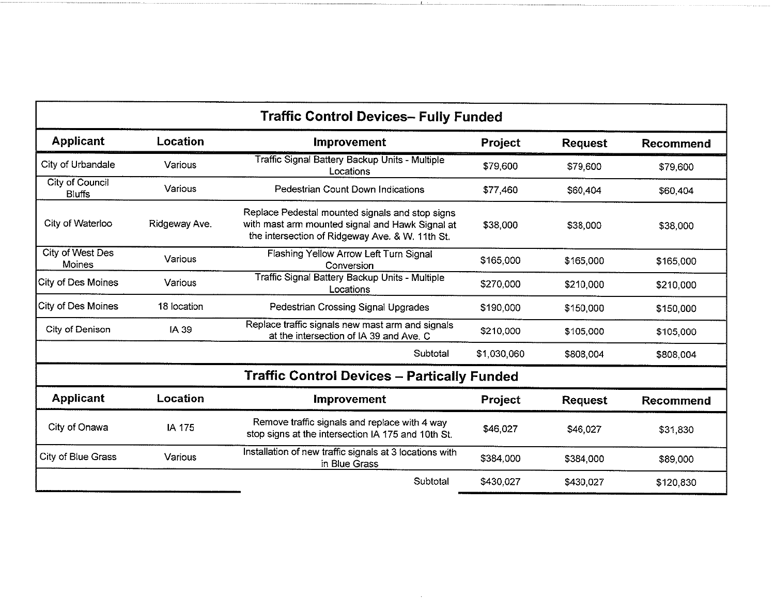| <b>Traffic Control Devices- Fully Funded</b> |               |                                                                                                                                                       |             |                |                  |
|----------------------------------------------|---------------|-------------------------------------------------------------------------------------------------------------------------------------------------------|-------------|----------------|------------------|
| <b>Applicant</b>                             | Location      | <b>Improvement</b>                                                                                                                                    | Project     | <b>Request</b> | Recommend        |
| City of Urbandale                            | Various       | Traffic Signal Battery Backup Units - Multiple<br>Locations                                                                                           | \$79,600    | \$79,600       | \$79,600         |
| City of Council<br><b>Bluffs</b>             | Various       | Pedestrian Count Down Indications                                                                                                                     | \$77,460    | \$60,404       | \$60 404         |
| City of Waterloo                             | Ridgeway Ave. | Replace Pedestal mounted signals and stop signs<br>with mast arm mounted signal and Hawk Signal at<br>the intersection of Ridgeway Ave. & W. 11th St. | \$38,000    | \$38,000       | \$38,000         |
| City of West Des<br>Moines                   | Various       | Flashing Yellow Arrow Left Turn Signal<br>Conversion                                                                                                  | \$165,000   | \$165,000      | \$165,000        |
| City of Des Moines                           | Various       | Traffic Signal Battery Backup Units - Multiple<br>Locations                                                                                           | \$270,000   | \$210,000      | \$210,000        |
| City of Des Moines                           | 18 location   | Pedestrian Crossing Signal Upgrades                                                                                                                   | \$190,000   | \$150,000      | \$150,000        |
| City of Denison                              | IA 39         | Replace traffic signals new mast arm and signals<br>at the intersection of IA 39 and Ave. C                                                           | \$210,000   | \$105,000      | \$105,000        |
|                                              |               | Subtotal                                                                                                                                              | \$1,030,060 | \$808,004      | \$808,004        |
|                                              |               | <b>Traffic Control Devices - Partically Funded</b>                                                                                                    |             |                |                  |
| <b>Applicant</b>                             | Location      | <b>Improvement</b>                                                                                                                                    | Project     | <b>Request</b> | <b>Recommend</b> |
| City of Onawa                                | IA 175        | Remove traffic signals and replace with 4 way<br>stop signs at the intersection IA 175 and 10th St.                                                   | \$46,027    | \$46,027       | \$31 830         |
| City of Blue Grass                           | Various       | Installation of new traffic signals at 3 locations with<br>in Blue Grass                                                                              | \$384,000   | \$384,000      | \$89,000         |
|                                              |               | Subtotal                                                                                                                                              | \$430,027   | \$430,027      | \$120,830        |

...f....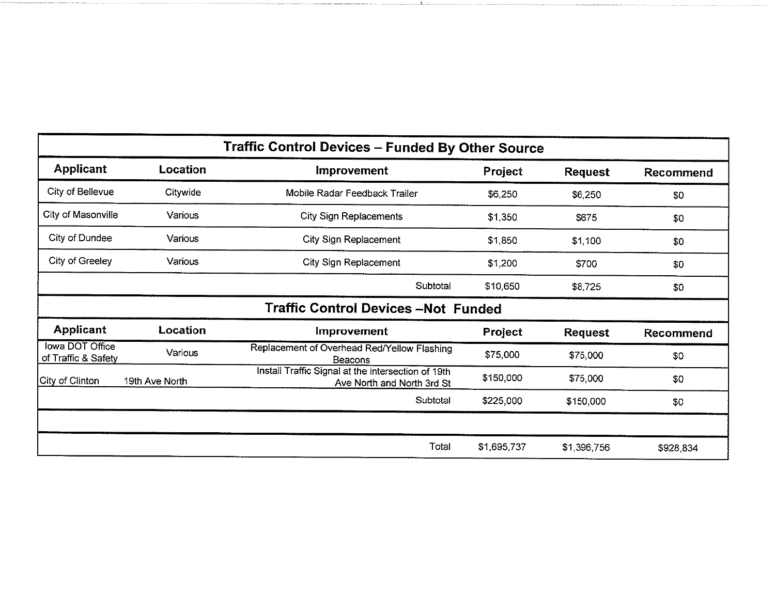| <b>Traffic Control Devices - Funded By Other Source</b> |                |                                                                                  |             |                |           |  |
|---------------------------------------------------------|----------------|----------------------------------------------------------------------------------|-------------|----------------|-----------|--|
| <b>Applicant</b>                                        | Location       | <b>Improvement</b>                                                               | Project     | <b>Request</b> | Recommend |  |
| City of Bellevue                                        | Citywide       | Mobile Radar Feedback Trailer                                                    | \$6,250     | \$6,250        | \$0       |  |
| City of Masonville                                      | Various        | <b>City Sign Replacements</b>                                                    | \$1,350     | \$675          | \$0       |  |
| City of Dundee                                          | <b>Various</b> | <b>City Sign Replacement</b>                                                     | \$1,850     | \$1,100        | \$0       |  |
| City of Greeley                                         | Various        | <b>City Sign Replacement</b>                                                     | \$1,200     | \$700          | \$0       |  |
|                                                         |                | Subtotal                                                                         | \$10,650    | \$8,725        | \$0       |  |
|                                                         |                | <b>Traffic Control Devices -Not Funded</b>                                       |             |                |           |  |
| <b>Applicant</b>                                        | Location       | <b>Improvement</b>                                                               | Project     | <b>Request</b> | Recommend |  |
| <b>Iowa DOT Office</b><br>of Traffic & Safety           | Various        | Replacement of Overhead Red/Yellow Flashing<br>Beacons                           | \$75,000    | \$75,000       | \$0       |  |
| City of Clinton                                         | 19th Ave North | Install Traffic Signal at the intersection of 19th<br>Ave North and North 3rd St | \$150,000   | \$75,000       | \$0       |  |
|                                                         |                | Subtotal                                                                         | \$225,000   | \$150,000      | \$0       |  |
|                                                         |                |                                                                                  |             |                |           |  |
|                                                         |                | Total                                                                            | \$1,695,737 | \$1,396,756    | \$928,834 |  |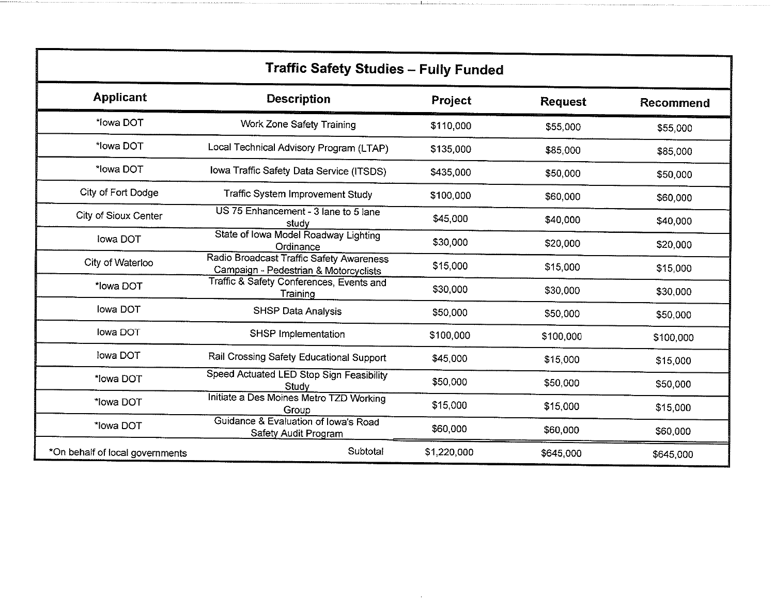| <b>Traffic Safety Studies - Fully Funded</b> |                                                                                   |             |                |                  |  |  |  |
|----------------------------------------------|-----------------------------------------------------------------------------------|-------------|----------------|------------------|--|--|--|
| <b>Applicant</b>                             | <b>Description</b>                                                                | Project     | <b>Request</b> | <b>Recommend</b> |  |  |  |
| *lowa DOT                                    | <b>Work Zone Safety Training</b>                                                  | \$110,000   | \$55,000       | \$55,000         |  |  |  |
| *lowa DOT                                    | Local Technical Advisory Program (LTAP)                                           | \$135,000   | \$85,000       | \$85,000         |  |  |  |
| *lowa DOT                                    | Iowa Traffic Safety Data Service (ITSDS)                                          | \$435,000   | \$50,000       | \$50,000         |  |  |  |
| City of Fort Dodge                           | Traffic System Improvement Study                                                  | \$100,000   | \$60,000       | \$60,000         |  |  |  |
| City of Sioux Center                         | US 75 Enhancement - 3 lane to 5 lane<br>study                                     | \$45,000    | \$40,000       | \$40,000         |  |  |  |
| lowa DOT                                     | State of Iowa Model Roadway Lighting<br>Ordinance                                 | \$30,000    | \$20,000       | \$20,000         |  |  |  |
| City of Waterloo                             | Radio Broadcast Traffic Safety Awareness<br>Campaign - Pedestrian & Motorcyclists | \$15,000    | \$15,000       | \$15,000         |  |  |  |
| *lowa DOT                                    | Traffic & Safety Conferences, Events and<br>Training                              | \$30,000    | \$30,000       | \$30,000         |  |  |  |
| Iowa DOT                                     | SHSP Data Analysis                                                                | \$50,000    | \$50,000       | \$50,000         |  |  |  |
| lowa DOT                                     | SHSP Implementation                                                               | \$100,000   | \$100,000      | \$100,000        |  |  |  |
| lowa DOT                                     | Rail Crossing Safety Educational Support                                          | \$45,000    | \$15,000       | \$15,000         |  |  |  |
| *lowa DOT                                    | Speed Actuated LED Stop Sign Feasibility<br>Study                                 | \$50,000    | \$50,000       | \$50,000         |  |  |  |
| *lowa DOT                                    | Initiate a Des Moines Metro TZD Working<br>Group                                  | \$15,000    | \$15,000       | \$15,000         |  |  |  |
| *lowa DOT                                    | Guidance & Evaluation of Iowa's Road<br>Safety Audit Program                      | \$60,000    | \$60,000       | \$60,000         |  |  |  |
| *On behalf of local governments              | Subtotal                                                                          | \$1,220,000 | \$645,000      | \$645,000        |  |  |  |